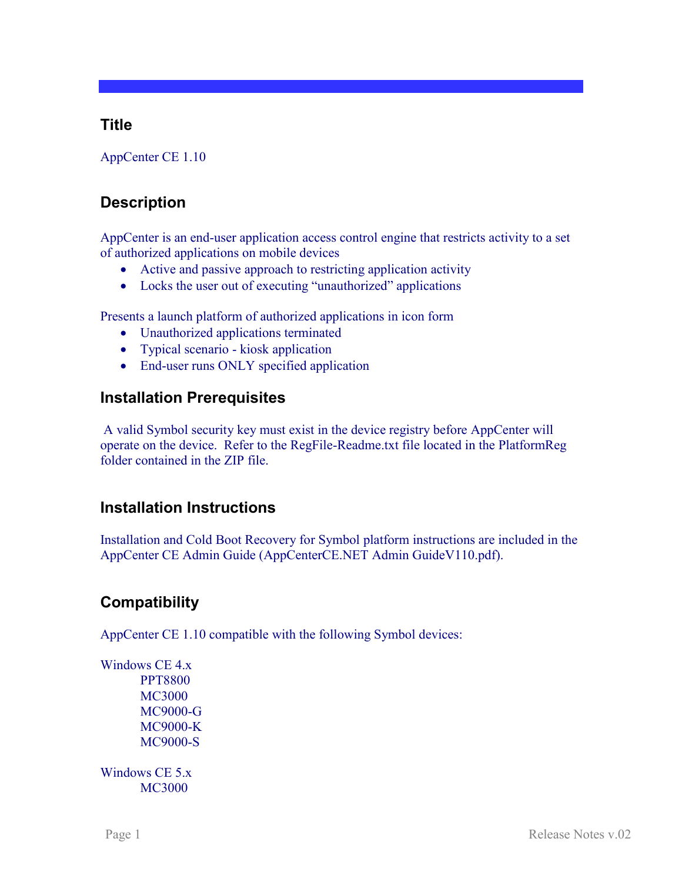### **Title**

AppCenter CE 1.10

## **Description**

AppCenter is an end-user application access control engine that restricts activity to a set of authorized applications on mobile devices

- Active and passive approach to restricting application activity
- Locks the user out of executing "unauthorized" applications

Presents a launch platform of authorized applications in icon form

- Unauthorized applications terminated
- Typical scenario kiosk application
- End-user runs ONLY specified application

### **Installation Prerequisites**

A valid Symbol security key must exist in the device registry before AppCenter will operate on the device. Refer to the RegFile-Readme.txt file located in the PlatformReg folder contained in the ZIP file.

## **Installation Instructions**

Installation and Cold Boot Recovery for Symbol platform instructions are included in the AppCenter CE Admin Guide (AppCenterCE.NET Admin GuideV110.pdf).

# **Compatibility**

AppCenter CE 1.10 compatible with the following Symbol devices:

Windows CE 4.x PPT8800 MC3000 MC9000-G MC9000-K MC9000-S

Windows CE 5.x MC3000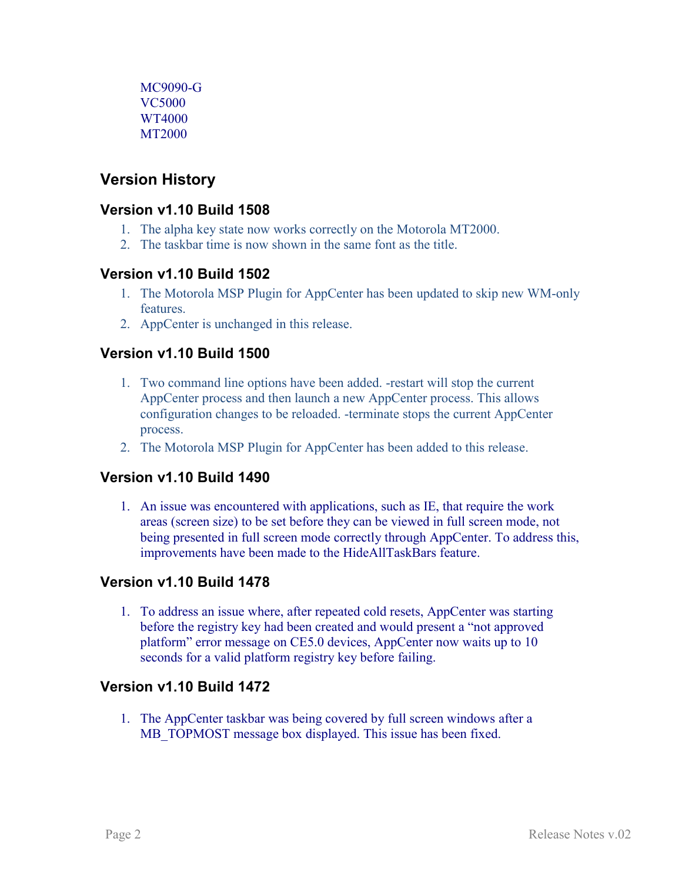MC9090-G VC5000 WT4000 MT2000

## **Version History**

#### **Version v1.10 Build 1508**

- 1. The alpha key state now works correctly on the Motorola MT2000.
- 2. The taskbar time is now shown in the same font as the title.

#### **Version v1.10 Build 1502**

- 1. The Motorola MSP Plugin for AppCenter has been updated to skip new WM-only **features**
- 2. AppCenter is unchanged in this release.

### **Version v1.10 Build 1500**

- 1. Two command line options have been added. -restart will stop the current AppCenter process and then launch a new AppCenter process. This allows configuration changes to be reloaded. -terminate stops the current AppCenter process.
- 2. The Motorola MSP Plugin for AppCenter has been added to this release.

#### **Version v1.10 Build 1490**

1. An issue was encountered with applications, such as IE, that require the work areas (screen size) to be set before they can be viewed in full screen mode, not being presented in full screen mode correctly through AppCenter. To address this, improvements have been made to the HideAllTaskBars feature.

#### **Version v1.10 Build 1478**

1. To address an issue where, after repeated cold resets, AppCenter was starting before the registry key had been created and would present a "not approved platform" error message on CE5.0 devices, AppCenter now waits up to 10 seconds for a valid platform registry key before failing.

#### **Version v1.10 Build 1472**

1. The AppCenter taskbar was being covered by full screen windows after a MB\_TOPMOST message box displayed. This issue has been fixed.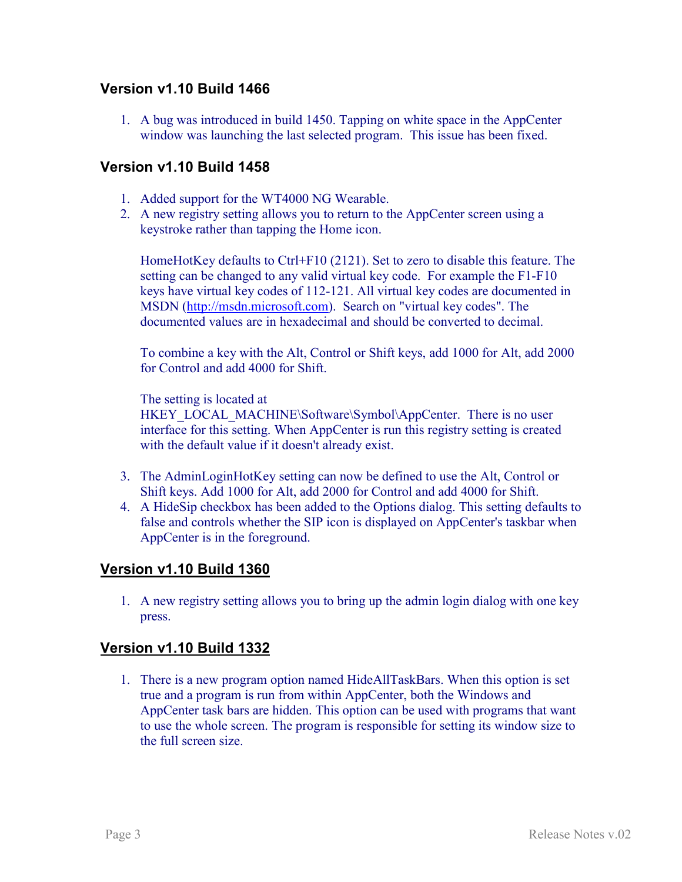#### **Version v1.10 Build 1466**

1. A bug was introduced in build 1450. Tapping on white space in the AppCenter window was launching the last selected program. This issue has been fixed.

#### **Version v1.10 Build 1458**

- 1. Added support for the WT4000 NG Wearable.
- 2. A new registry setting allows you to return to the AppCenter screen using a keystroke rather than tapping the Home icon.

HomeHotKey defaults to Ctrl+F10 (2121). Set to zero to disable this feature. The setting can be changed to any valid virtual key code. For example the F1-F10 keys have virtual key codes of 112-121. All virtual key codes are documented in MSDN [\(http://msdn.microsoft.com\)](http://msdn.microsoft.com/). Search on "virtual key codes". The documented values are in hexadecimal and should be converted to decimal.

To combine a key with the Alt, Control or Shift keys, add 1000 for Alt, add 2000 for Control and add 4000 for Shift.

The setting is located at

HKEY\_LOCAL\_MACHINE\Software\Symbol\AppCenter. There is no user interface for this setting. When AppCenter is run this registry setting is created with the default value if it doesn't already exist.

- 3. The AdminLoginHotKey setting can now be defined to use the Alt, Control or Shift keys. Add 1000 for Alt, add 2000 for Control and add 4000 for Shift.
- 4. A HideSip checkbox has been added to the Options dialog. This setting defaults to false and controls whether the SIP icon is displayed on AppCenter's taskbar when AppCenter is in the foreground.

#### **Version v1.10 Build 1360**

1. A new registry setting allows you to bring up the admin login dialog with one key press.

#### **Version v1.10 Build 1332**

1. There is a new program option named HideAllTaskBars. When this option is set true and a program is run from within AppCenter, both the Windows and AppCenter task bars are hidden. This option can be used with programs that want to use the whole screen. The program is responsible for setting its window size to the full screen size.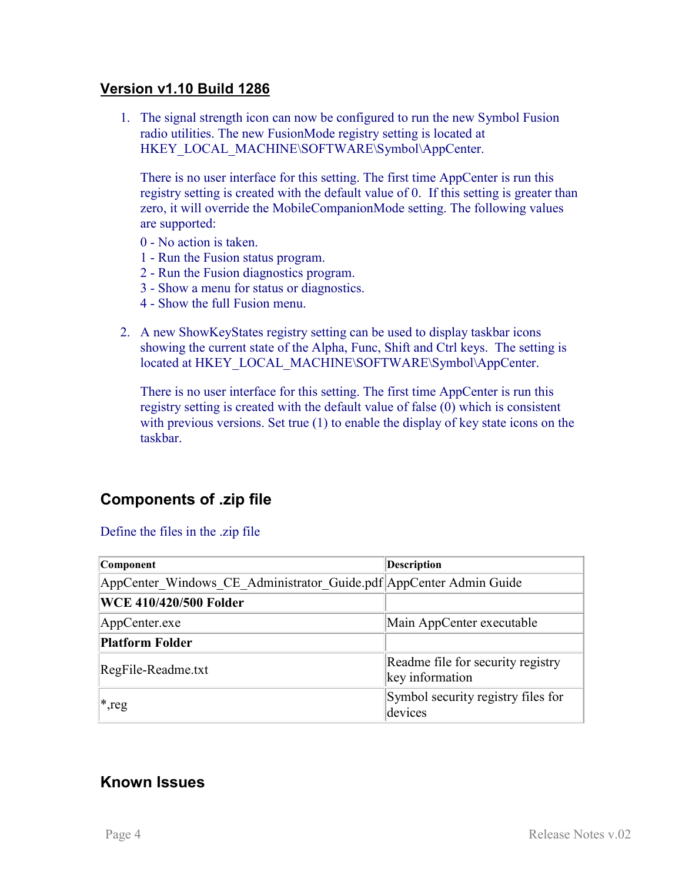#### **Version v1.10 Build 1286**

1. The signal strength icon can now be configured to run the new Symbol Fusion radio utilities. The new FusionMode registry setting is located at HKEY\_LOCAL\_MACHINE\SOFTWARE\Symbol\AppCenter.

There is no user interface for this setting. The first time AppCenter is run this registry setting is created with the default value of 0. If this setting is greater than zero, it will override the MobileCompanionMode setting. The following values are supported:

- 0 No action is taken.
- 1 Run the Fusion status program.
- 2 Run the Fusion diagnostics program.
- 3 Show a menu for status or diagnostics.
- 4 Show the full Fusion menu.
- 2. A new ShowKeyStates registry setting can be used to display taskbar icons showing the current state of the Alpha, Func, Shift and Ctrl keys. The setting is located at HKEY\_LOCAL\_MACHINE\SOFTWARE\Symbol\AppCenter.

There is no user interface for this setting. The first time AppCenter is run this registry setting is created with the default value of false (0) which is consistent with previous versions. Set true (1) to enable the display of key state icons on the taskbar.

## **Components of .zip file**

#### Define the files in the .zip file

| Component                                                          | <b>Description</b>                                   |
|--------------------------------------------------------------------|------------------------------------------------------|
| AppCenter Windows CE Administrator Guide.pdf AppCenter Admin Guide |                                                      |
| <b>WCE 410/420/500 Folder</b>                                      |                                                      |
| AppCenter.exe                                                      | Main AppCenter executable                            |
| Platform Folder                                                    |                                                      |
| RegFile-Readme.txt                                                 | Readme file for security registry<br>key information |
| $ *,$ reg                                                          | Symbol security registry files for<br>devices        |

## **Known Issues**